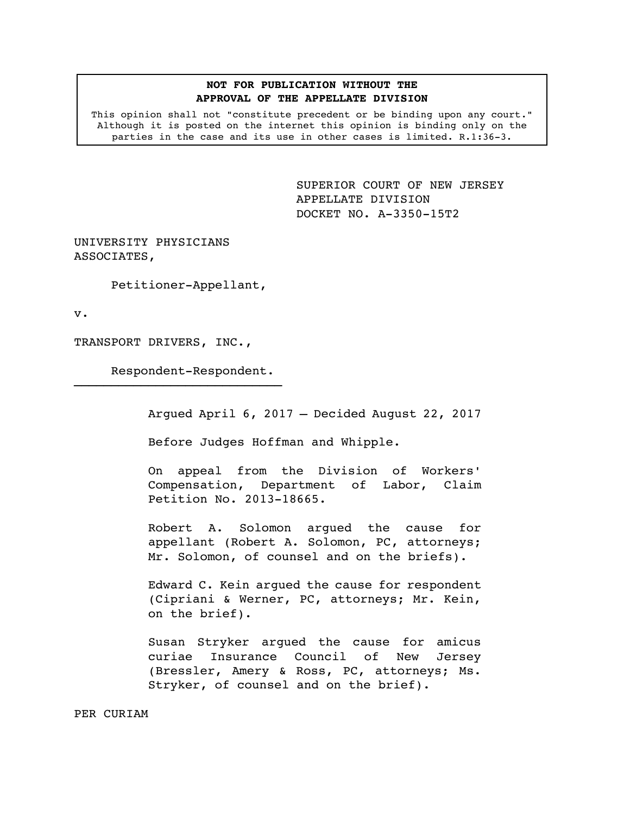## **NOT FOR PUBLICATION WITHOUT THE APPROVAL OF THE APPELLATE DIVISION**

This opinion shall not "constitute precedent or be binding upon any court." Although it is posted on the internet this opinion is binding only on the parties in the case and its use in other cases is limited. R.1:36-3.

> <span id="page-0-0"></span>SUPERIOR COURT OF NEW JERSEY APPELLATE DIVISION DOCKET NO. A-3350-15T2

UNIVERSITY PHYSICIANS ASSOCIATES,

Petitioner-Appellant,

v.

TRANSPORT DRIVERS, INC.,

Respondent-Respondent.

————————————————————————————

Argued April 6, 2017 – Decided August 22, 2017

Before Judges Hoffman and Whipple.

On appeal from the Division of Workers' Compensation, Department of Labor, Claim Petition No. 2013-18665.

Robert A. Solomon argued the cause for appellant (Robert A. Solomon, PC, attorneys; Mr. Solomon, of counsel and on the briefs).

Edward C. Kein argued the cause for respondent (Cipriani & Werner, PC, attorneys; Mr. Kein, on the brief).

Susan Stryker argued the cause for amicus curiae Insurance Council of New Jersey (Bressler, Amery & Ross, PC, attorneys; Ms. Stryker, of counsel and on the brief).

PER CURIAM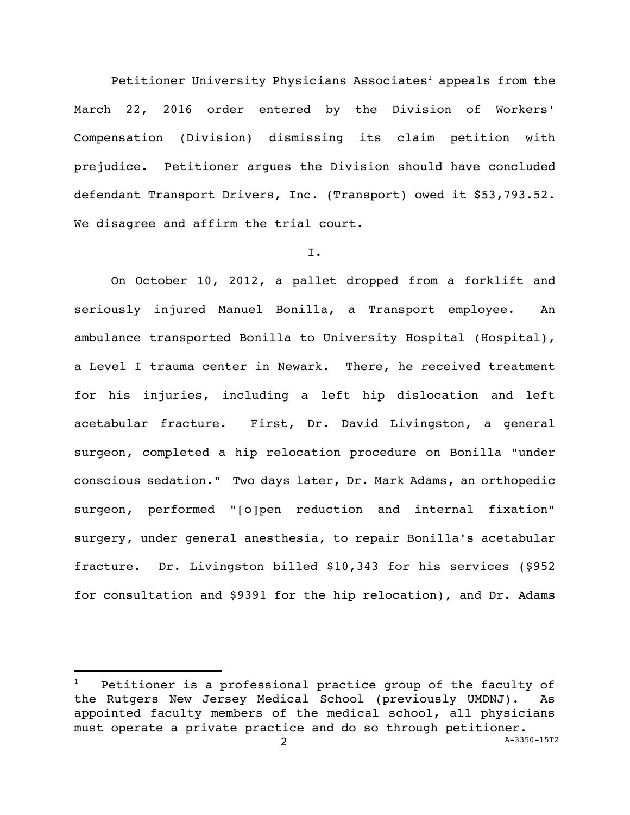Petitioner University Physicians Associates<sup>1</sup> appeals from the March 22, 2016 order entered by the Division of Workers' Compensation (Division) dismissing its claim petition with prejudice. Petitioner argues the Division should have concluded defendant Transport Drivers, Inc. (Transport) owed it \$53,793.52. We disagree and affirm the trial court.

## I.

On October 10, 2012, a pallet dropped from a forklift and seriously injured Manuel Bonilla, a Transport employee. An ambulance transported Bonilla to University Hospital (Hospital), a Level I trauma center in Newark. There, he received treatment for his injuries, including a left hip dislocation and left acetabular fracture. First, Dr. David Livingston, a general surgeon, completed a hip relocation procedure on Bonilla "under conscious sedation." Two days later, Dr. Mark Adams, an orthopedic surgeon, performed "[o]pen reduction and internal fixation" surgery, under general anesthesia, to repair Bonilla's acetabular fracture. Dr. Livingston billed \$10,343 for his services (\$952 for consultation and \$9391 for the hip relocation), and Dr. Adams

<sup>2</sup> A[-3350-15T2](#page-0-0) Petitioner is a professional practice group of the faculty of the Rutgers New Jersey Medical School (previously UMDNJ). As appointed faculty members of the medical school, all physicians must operate a private practice and do so through petitioner.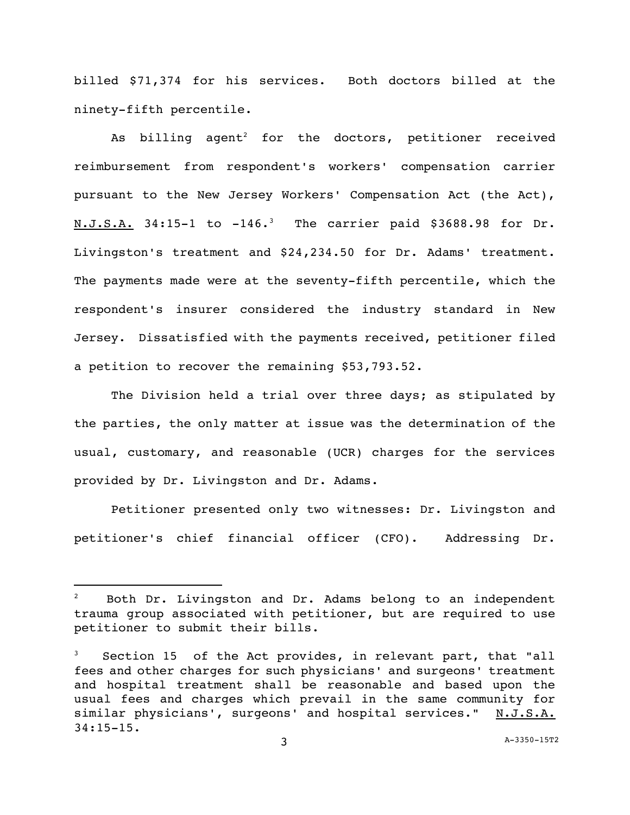billed \$71,374 for his services. Both doctors billed at the ninety-fifth percentile.

As billing agent<sup>2</sup> for the doctors, petitioner received reimbursement from respondent's workers' compensation carrier pursuant to the New Jersey Workers' Compensation Act (the Act),  $N.J.S.A.$  34:15-1 to -146.<sup>3</sup> The carrier paid \$3688.98 for Dr. Livingston's treatment and \$24,234.50 for Dr. Adams' treatment. The payments made were at the seventy-fifth percentile, which the respondent's insurer considered the industry standard in New Jersey. Dissatisfied with the payments received, petitioner filed a petition to recover the remaining \$53,793.52.

The Division held a trial over three days; as stipulated by the parties, the only matter at issue was the determination of the usual, customary, and reasonable (UCR) charges for the services provided by Dr. Livingston and Dr. Adams.

Petitioner presented only two witnesses: Dr. Livingston and petitioner's chief financial officer (CFO). Addressing Dr.

 $2^2$  Both Dr. Livingston and Dr. Adams belong to an independent trauma group associated with petitioner, but are required to use petitioner to submit their bills.

Section 15 of the Act provides, in relevant part, that "all fees and other charges for such physicians' and surgeons' treatment and hospital treatment shall be reasonable and based upon the usual fees and charges which prevail in the same community for similar physicians', surgeons' and hospital services." N.J.S.A. 34:15-15.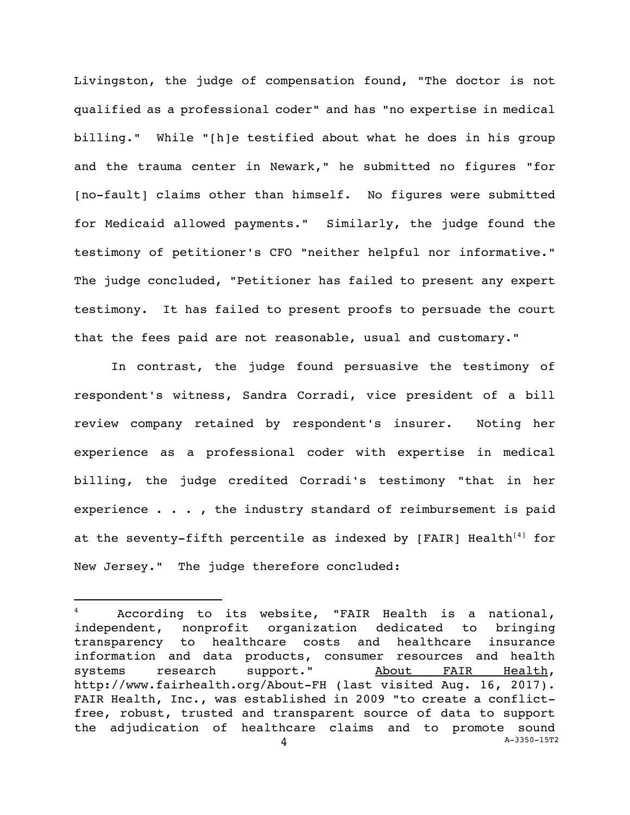Livingston, the judge of compensation found, "The doctor is not qualified as a professional coder" and has "no expertise in medical billing." While "[h]e testified about what he does in his group and the trauma center in Newark," he submitted no figures "for [no-fault] claims other than himself. No figures were submitted for Medicaid allowed payments." Similarly, the judge found the testimony of petitioner's CFO "neither helpful nor informative." The judge concluded, "Petitioner has failed to present any expert testimony. It has failed to present proofs to persuade the court that the fees paid are not reasonable, usual and customary."

In contrast, the judge found persuasive the testimony of respondent's witness, Sandra Corradi, vice president of a bill review company retained by respondent's insurer. Noting her experience as a professional coder with expertise in medical billing, the judge credited Corradi's testimony "that in her experience  $\cdots$ , the industry standard of reimbursement is paid at the seventy-fifth percentile as indexed by  $[FAIR]$  Health<sup>[4]</sup> for New Jersey." The judge therefore concluded:

<sup>4</sup> A[-3350-15T2](#page-0-0) According to its website, "FAIR Health is a national, independent, nonprofit organization dedicated to bringing transparency to healthcare costs and healthcare insurance information and data products, consumer resources and health systems research support." About FAIR Health, http://www.fairhealth.org/About-FH (last visited Aug. 16, 2017). FAIR Health, Inc., was established in 2009 "to create a conflictfree, robust, trusted and transparent source of data to support the adjudication of healthcare claims and to promote sound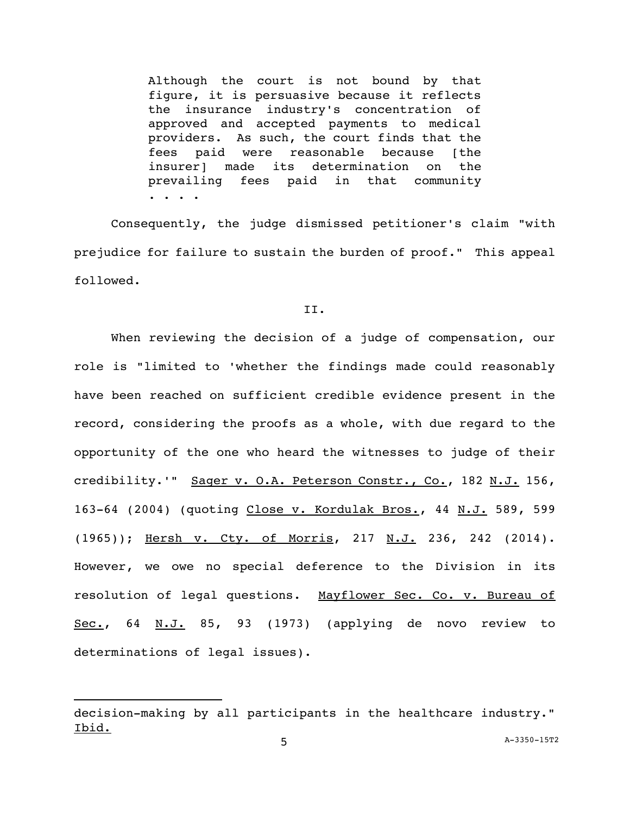Although the court is not bound by that figure, it is persuasive because it reflects the insurance industry's concentration of approved and accepted payments to medical providers. As such, the court finds that the fees paid were reasonable because [the insurer] made its determination on the prevailing fees paid in that community . . . .

Consequently, the judge dismissed petitioner's claim "with prejudice for failure to sustain the burden of proof." This appeal followed.

## II.

When reviewing the decision of a judge of compensation, our role is "limited to 'whether the findings made could reasonably have been reached on sufficient credible evidence present in the record, considering the proofs as a whole, with due regard to the opportunity of the one who heard the witnesses to judge of their credibility.'" Sager v. O.A. Peterson Constr., Co., 182 N.J. 156, 163-64 (2004) (quoting Close v. Kordulak Bros., 44 N.J. 589, 599 (1965)); Hersh v. Cty. of Morris, 217 N.J. 236, 242 (2014). However, we owe no special deference to the Division in its resolution of legal questions. Mayflower Sec. Co. v. Bureau of Sec., 64 N.J. 85, 93 (1973) (applying de novo review to determinations of legal issues).

<sup>5</sup> A[-3350-15T2](#page-0-0) decision-making by all participants in the healthcare industry." Ibid.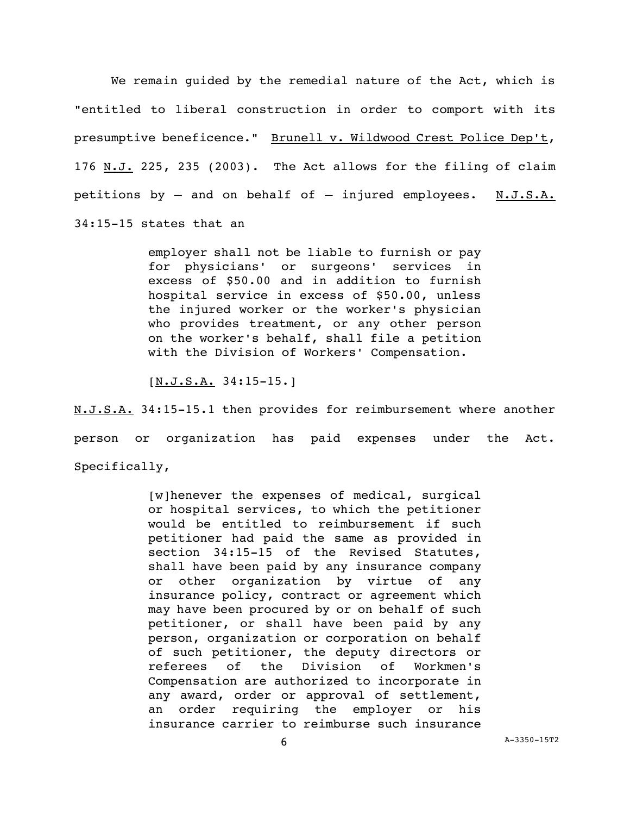We remain guided by the remedial nature of the Act, which is "entitled to liberal construction in order to comport with its presumptive beneficence." Brunell v. Wildwood Crest Police Dep't, 176 N.J. 225, 235 (2003). The Act allows for the filing of claim petitions by  $-$  and on behalf of  $-$  injured employees. N.J.S.A. 34:15-15 states that an

> employer shall not be liable to furnish or pay for physicians' or surgeons' services in excess of \$50.00 and in addition to furnish hospital service in excess of \$50.00, unless the injured worker or the worker's physician who provides treatment, or any other person on the worker's behalf, shall file a petition with the Division of Workers' Compensation.

[N.J.S.A. 34:15-15.]

N.J.S.A. 34:15-15.1 then provides for reimbursement where another person or organization has paid expenses under the Act. Specifically,

> [w]henever the expenses of medical, surgical or hospital services, to which the petitioner would be entitled to reimbursement if such petitioner had paid the same as provided in section 34:15-15 of the Revised Statutes, shall have been paid by any insurance company or other organization by virtue of any insurance policy, contract or agreement which may have been procured by or on behalf of such petitioner, or shall have been paid by any person, organization or corporation on behalf of such petitioner, the deputy directors or referees of the Division of Workmen's Compensation are authorized to incorporate in any award, order or approval of settlement, an order requiring the employer or his insurance carrier to reimburse such insurance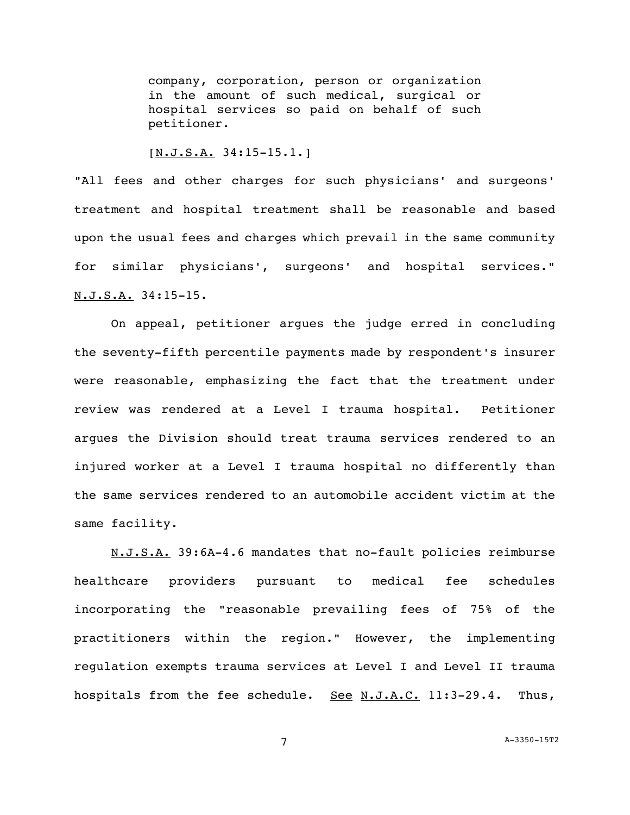company, corporation, person or organization in the amount of such medical, surgical or hospital services so paid on behalf of such petitioner.

## [N.J.S.A. 34:15-15.1.]

"All fees and other charges for such physicians' and surgeons' treatment and hospital treatment shall be reasonable and based upon the usual fees and charges which prevail in the same community for similar physicians', surgeons' and hospital services." N.J.S.A. 34:15-15.

On appeal, petitioner argues the judge erred in concluding the seventy-fifth percentile payments made by respondent's insurer were reasonable, emphasizing the fact that the treatment under review was rendered at a Level I trauma hospital. Petitioner argues the Division should treat trauma services rendered to an injured worker at a Level I trauma hospital no differently than the same services rendered to an automobile accident victim at the same facility.

N.J.S.A. 39:6A-4.6 mandates that no-fault policies reimburse healthcare providers pursuant to medical fee schedules incorporating the "reasonable prevailing fees of 75% of the practitioners within the region." However, the implementing regulation exempts trauma services at Level I and Level II trauma hospitals from the fee schedule. See N.J.A.C. 11:3-29.4. Thus,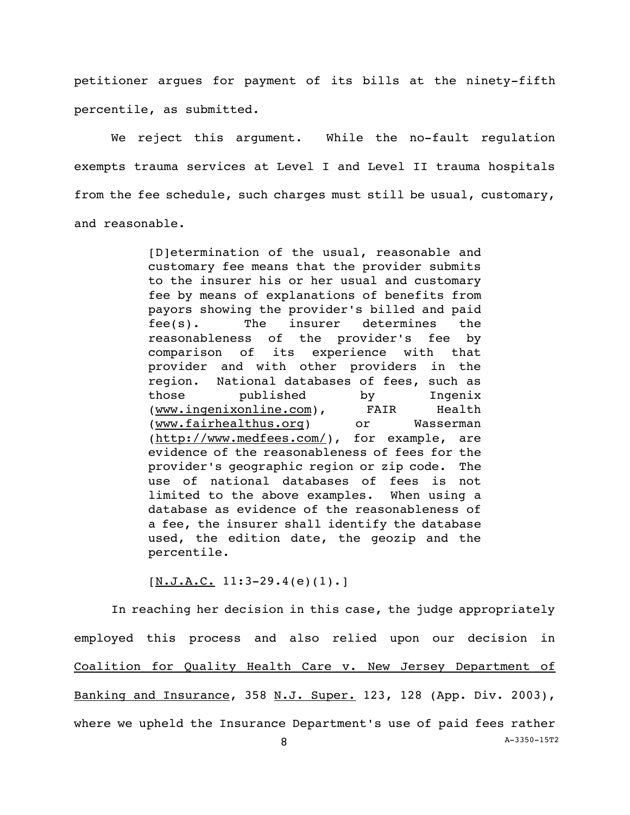petitioner argues for payment of its bills at the ninety-fifth percentile, as submitted.

We reject this argument. While the no-fault regulation exempts trauma services at Level I and Level II trauma hospitals from the fee schedule, such charges must still be usual, customary, and reasonable.

> [D]etermination of the usual, reasonable and customary fee means that the provider submits to the insurer his or her usual and customary fee by means of explanations of benefits from payors showing the provider's billed and paid fee(s). The insurer determines the reasonableness of the provider's fee by comparison of its experience with that provider and with other providers in the region. National databases of fees, such as those published by Ingenix (www.ingenixonline.com), FAIR Health (www.fairhealthus.org) or Wasserman (http://www.medfees.com/), for example, are evidence of the reasonableness of fees for the provider's geographic region or zip code. The use of national databases of fees is not limited to the above examples. When using a database as evidence of the reasonableness of a fee, the insurer shall identify the database used, the edition date, the geozip and the percentile.

 $[N.J.A.C. 11:3-29.4(e)(1).]$ 

In reaching her decision in this case, the judge appropriately employed this process and also relied upon our decision in Coalition for Quality Health Care v. New Jersey Department of Banking and Insurance, 358 N.J. Super. 123, 128 (App. Div. 2003), where we upheld the Insurance Department's use of paid fees rather